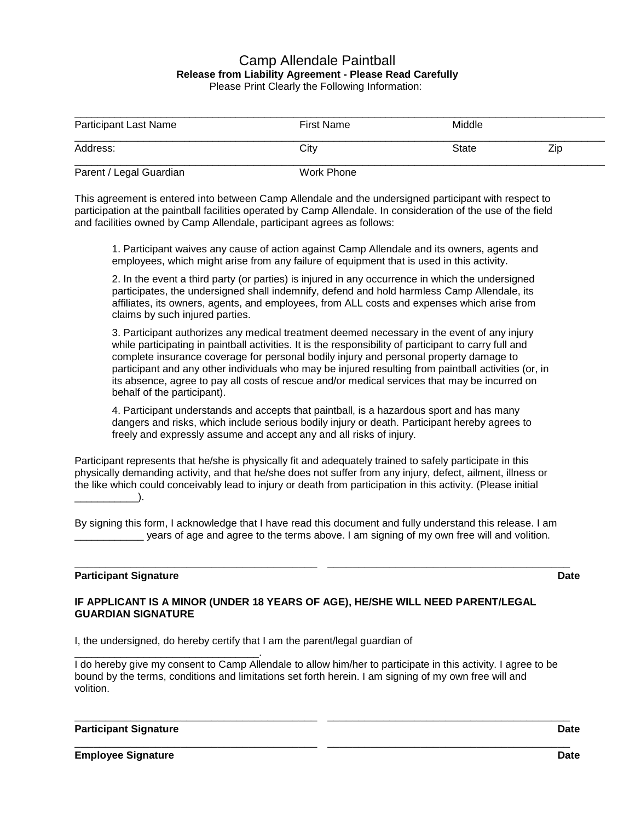## Camp Allendale Paintball **Release from Liability Agreement - Please Read Carefully**  Please Print Clearly the Following Information:

| <b>Participant Last Name</b> | First Name | Middle |     |
|------------------------------|------------|--------|-----|
| Address:                     | City       | State  | Zip |
| Parent / Legal Guardian      | Work Phone |        |     |

This agreement is entered into between Camp Allendale and the undersigned participant with respect to participation at the paintball facilities operated by Camp Allendale. In consideration of the use of the field and facilities owned by Camp Allendale, participant agrees as follows:

1. Participant waives any cause of action against Camp Allendale and its owners, agents and employees, which might arise from any failure of equipment that is used in this activity.

2. In the event a third party (or parties) is injured in any occurrence in which the undersigned participates, the undersigned shall indemnify, defend and hold harmless Camp Allendale, its affiliates, its owners, agents, and employees, from ALL costs and expenses which arise from claims by such injured parties.

3. Participant authorizes any medical treatment deemed necessary in the event of any injury while participating in paintball activities. It is the responsibility of participant to carry full and complete insurance coverage for personal bodily injury and personal property damage to participant and any other individuals who may be injured resulting from paintball activities (or, in its absence, agree to pay all costs of rescue and/or medical services that may be incurred on behalf of the participant).

4. Participant understands and accepts that paintball, is a hazardous sport and has many dangers and risks, which include serious bodily injury or death. Participant hereby agrees to freely and expressly assume and accept any and all risks of injury.

Participant represents that he/she is physically fit and adequately trained to safely participate in this physically demanding activity, and that he/she does not suffer from any injury, defect, ailment, illness or the like which could conceivably lead to injury or death from participation in this activity. (Please initial  $\qquad \qquad$ 

By signing this form, I acknowledge that I have read this document and fully understand this release. I am \_\_\_\_\_\_\_\_\_\_\_\_ years of age and agree to the terms above. I am signing of my own free will and volition.

\_\_\_\_\_\_\_\_\_\_\_\_\_\_\_\_\_\_\_\_\_\_\_\_\_\_\_\_\_\_\_\_\_\_\_\_\_\_\_ \_\_\_\_\_\_\_\_\_\_\_\_\_\_\_\_\_\_\_\_\_\_\_\_\_\_\_\_\_\_\_\_\_\_\_\_\_\_\_

## **Participant Signature Date**

### **IF APPLICANT IS A MINOR (UNDER 18 YEARS OF AGE), HE/SHE WILL NEED PARENT/LEGAL GUARDIAN SIGNATURE**

I, the undersigned, do hereby certify that I am the parent/legal guardian of

\_\_\_\_\_\_\_\_\_\_\_\_\_\_\_\_\_\_\_\_\_\_\_\_\_\_\_\_\_\_\_\_. I do hereby give my consent to Camp Allendale to allow him/her to participate in this activity. I agree to be bound by the terms, conditions and limitations set forth herein. I am signing of my own free will and volition.

\_\_\_\_\_\_\_\_\_\_\_\_\_\_\_\_\_\_\_\_\_\_\_\_\_\_\_\_\_\_\_\_\_\_\_\_\_\_\_ \_\_\_\_\_\_\_\_\_\_\_\_\_\_\_\_\_\_\_\_\_\_\_\_\_\_\_\_\_\_\_\_\_\_\_\_\_\_\_

#### **Participant Signature Date**

**Employee Signature Date**